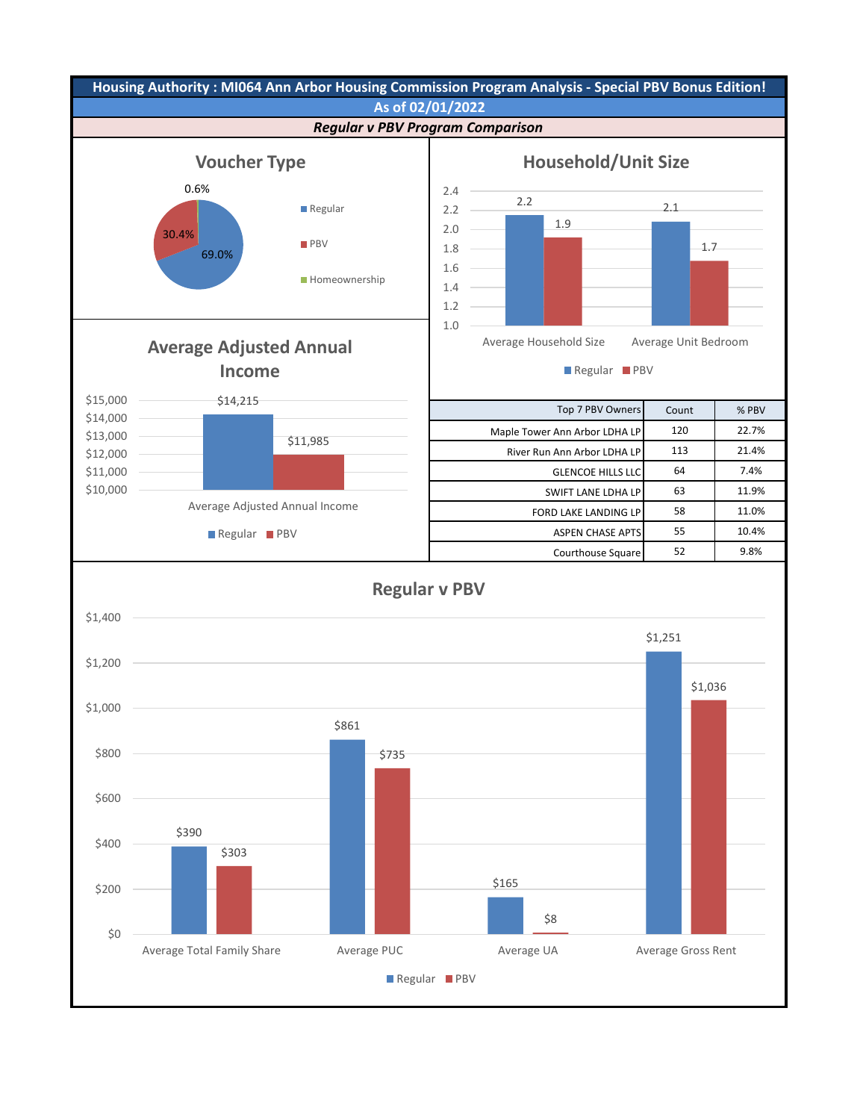